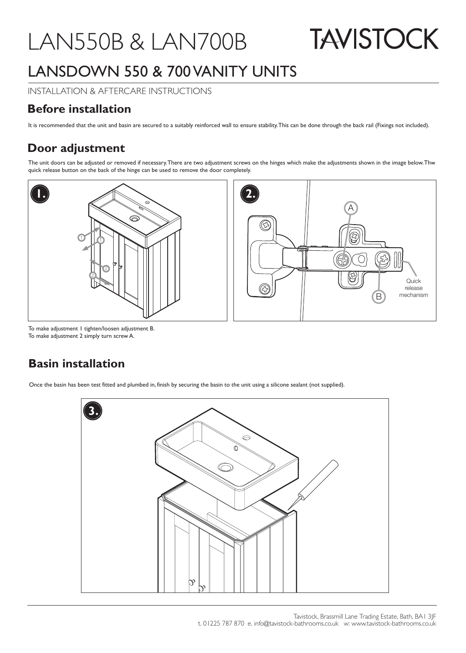## LAN550B & LAN700B

**TAVISTOCK** 

## LANSDOWN 550 & 700 VANITY UNITS

INSTALLATION & AFTERCARE INSTRUCTIONS

## **Before installation**

It is recommended that the unit and basin are secured to a suitably reinforced wall to ensure stability. This can be done through the back rail (Fixings not included).

## **Door adjustment**

The unit doors can be adjusted or removed if necessary. There are two adjustment screws on the hinges which make the adjustments shown in the image below. Thw quick release button on the back of the hinge can be used to remove the door completely.





To make adjustment 1 tighten/loosen adjustment B. To make adjustment 2 simply turn screw A.

## **Basin installation**

Once the basin has been test fitted and plumbed in, finish by securing the basin to the unit using a silicone sealant (not supplied).